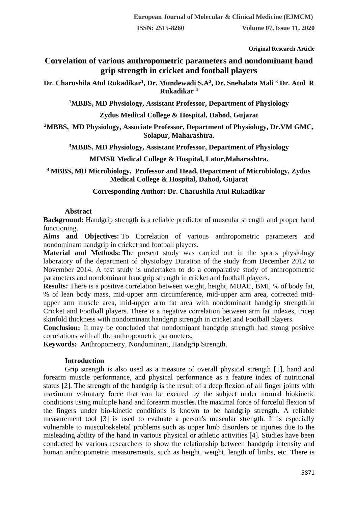**Original Research Article**

# **Correlation of various anthropometric parameters and nondominant hand grip strength in cricket and football players**

**Dr. Charushila Atul Rukadikar<sup>1</sup> , Dr. Mundewadi S.A<sup>2</sup> , Dr. Snehalata Mali <sup>3</sup> Dr. Atul R Rukadikar <sup>4</sup>**

**<sup>1</sup>MBBS, MD Physiology, Assistant Professor, Department of Physiology**

**Zydus Medical College & Hospital, Dahod, Gujarat**

**<sup>2</sup>MBBS, MD Physiology, Associate Professor, Department of Physiology, Dr.VM GMC, Solapur, Maharashtra.**

**<sup>3</sup>MBBS, MD Physiology, Assistant Professor, Department of Physiology**

**MIMSR Medical College & Hospital, Latur,Maharashtra.**

**<sup>4</sup>MBBS, MD Microbiology, Professor and Head, Department of Microbiology, Zydus Medical College & Hospital, Dahod, Gujarat**

### **Corresponding Author: Dr. Charushila Atul Rukadikar**

### **Abstract**

**Background:** Handgrip strength is a reliable predictor of muscular strength and proper hand functioning.

**Aims and Objectives:** To Correlation of various anthropometric parameters and nondominant handgrip in cricket and football players.

**Material and Methods:** The present study was carried out in the sports physiology laboratory of the department of physiology Duration of the study from December 2012 to November 2014. A test study is undertaken to do a comparative study of anthropometric parameters and nondominant handgrip strength in cricket and football players.

**Results:** There is a positive correlation between weight, height, MUAC, BMI, % of body fat, % of lean body mass, mid-upper arm circumference, mid-upper arm area, corrected midupper arm muscle area, mid-upper arm fat area with nondominant handgrip strength in Cricket and Football players. There is a negative correlation between arm fat indexes, tricep skinfold thickness with nondominant handgrip strength in cricket and Football players.

**Conclusion:** It may be concluded that nondominant handgrip strength had strong positive correlations with all the anthropometric parameters.

**Keywords:** Anthropometry, Nondominant, Handgrip Strength.

# **Introduction**

Grip strength is also used as a measure of overall physical strength [1], hand and forearm muscle performance, and physical performance as a feature index of nutritional status [2]. The strength of the handgrip is the result of a deep flexion of all finger joints with maximum voluntary force that can be exerted by the subject under normal biokinetic conditions using multiple hand and forearm muscles.The maximal force of forceful flexion of the fingers under bio-kinetic conditions is known to be handgrip strength. A reliable measurement tool [3] is used to evaluate a person's muscular strength. It is especially vulnerable to musculoskeletal problems such as upper limb disorders or injuries due to the misleading ability of the hand in various physical or athletic activities [4]. Studies have been conducted by various researchers to show the relationship between handgrip intensity and human anthropometric measurements, such as height, weight, length of limbs, etc. There is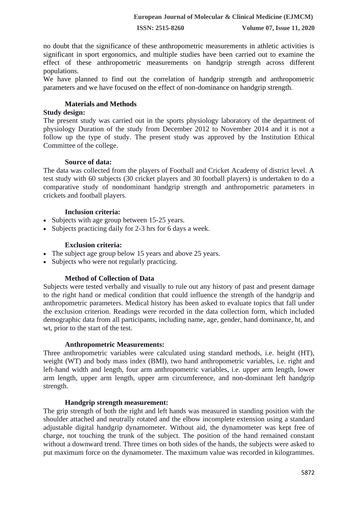no doubt that the significance of these anthropometric measurements in athletic activities is significant in sport ergonomics, and multiple studies have been carried out to examine the effect of these anthropometric measurements on handgrip strength across different populations.

We have planned to find out the correlation of handgrip strength and anthropometric parameters and we have focused on the effect of non-dominance on handgrip strength.

#### **Materials and Methods**

#### **Study design:**

The present study was carried out in the sports physiology laboratory of the department of physiology Duration of the study from December 2012 to November 2014 and it is not a follow up the type of study. The present study was approved by the Institution Ethical Committee of the college.

#### **Source of data:**

The data was collected from the players of Football and Cricket Academy of district level. A test study with 60 subjects (30 cricket players and 30 football players) is undertaken to do a comparative study of nondominant handgrip strength and anthropometric parameters in crickets and football players.

### **Inclusion criteria:**

- Subjects with age group between 15-25 years.
- Subjects practicing daily for 2-3 hrs for 6 days a week.

### **Exclusion criteria:**

- The subject age group below 15 years and above 25 years.
- Subjects who were not regularly practicing.

# **Method of Collection of Data**

Subjects were tested verbally and visually to rule out any history of past and present damage to the right hand or medical condition that could influence the strength of the handgrip and anthropometric parameters. Medical history has been asked to evaluate topics that fall under the exclusion criterion. Readings were recorded in the data collection form, which included demographic data from all participants, including name, age, gender, hand dominance, ht, and wt, prior to the start of the test.

#### **Anthropometric Measurements:**

Three anthropometric variables were calculated using standard methods, i.e. height (HT), weight (WT) and body mass index (BMI), two hand anthropometric variables, i.e. right and left-hand width and length, four arm anthropometric variables, i.e. upper arm length, lower arm length, upper arm length, upper arm circumference, and non-dominant left handgrip strength.

#### **Handgrip strength measurement:**

The grip strength of both the right and left hands was measured in standing position with the shoulder attached and neutrally rotated and the elbow incomplete extension using a standard adjustable digital handgrip dynamometer. Without aid, the dynamometer was kept free of charge, not touching the trunk of the subject. The position of the hand remained constant without a downward trend. Three times on both sides of the hands, the subjects were asked to put maximum force on the dynamometer. The maximum value was recorded in kilogrammes.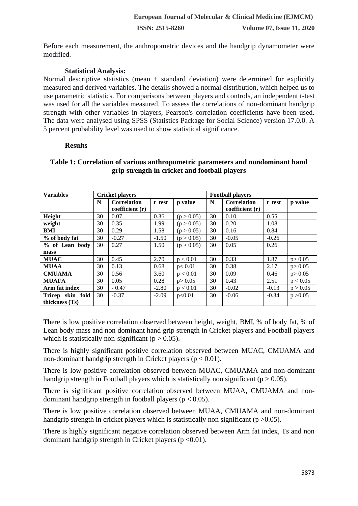Before each measurement, the anthropometric devices and the handgrip dynamometer were modified.

## **Statistical Analysis:**

Normal descriptive statistics (mean  $\pm$  standard deviation) were determined for explicitly measured and derived variables. The details showed a normal distribution, which helped us to use parametric statistics. For comparisons between players and controls, an independent t-test was used for all the variables measured. To assess the correlations of non-dominant handgrip strength with other variables in players, Pearson's correlation coefficients have been used. The data were analysed using SPSS (Statistics Package for Social Science) version 17.0.0. A 5 percent probability level was used to show statistical significance.

#### **Results**

# **Table 1: Correlation of various anthropometric parameters and nondominant hand grip strength in cricket and football players**

| <b>Variables</b> | <b>Cricket players</b> |                    |         |            | <b>Football players</b> |                    |         |          |
|------------------|------------------------|--------------------|---------|------------|-------------------------|--------------------|---------|----------|
|                  | N                      | <b>Correlation</b> | t test  | p value    | N                       | <b>Correlation</b> | t test  | p value  |
|                  |                        | coefficient(r)     |         |            |                         | coefficient(r)     |         |          |
| Height           | 30                     | 0.07               | 0.36    | (p > 0.05) | 30                      | 0.10               | 0.55    |          |
| weight           | 30                     | 0.35               | 1.99    | (p > 0.05) | 30                      | 0.20               | 1.08    |          |
| BMI              | 30                     | 0.29               | 1.58    | (p > 0.05) | 30                      | 0.16               | 0.84    |          |
| % of body fat    | 30                     | $-0.27$            | $-1.50$ | (p > 0.05) | 30                      | $-0.05$            | $-0.26$ |          |
| % of Lean body   | 30                     | 0.27               | 1.50    | (p > 0.05) | 30                      | 0.05               | 0.26    |          |
| mass             |                        |                    |         |            |                         |                    |         |          |
| <b>MUAC</b>      | 30                     | 0.45               | 2.70    | p < 0.01   | 30                      | 0.33               | 1.87    | p > 0.05 |
| <b>MUAA</b>      | 30                     | 0.13               | 0.68    | p<0.01     | 30                      | 0.38               | 2.17    | p > 0.05 |
| <b>CMUAMA</b>    | 30                     | 0.56               | 3.60    | p < 0.01   | 30                      | 0.09               | 0.46    | p > 0.05 |
| <b>MUAFA</b>     | 30                     | 0.05               | 0.28    | p > 0.05   | 30                      | 0.43               | 2.51    | p < 0.05 |
| Arm fat index    | 30                     | $-0.47$            | $-2.80$ | p < 0.01   | 30                      | $-0.02$            | $-0.13$ | p > 0.05 |
| Tricep skin fold | 30                     | $-0.37$            | $-2.09$ | p<0.01     | 30                      | $-0.06$            | $-0.34$ | p > 0.05 |
| thickness (Ts)   |                        |                    |         |            |                         |                    |         |          |

There is low positive correlation observed between height, weight, BMI, % of body fat, % of Lean body mass and non dominant hand grip strength in Cricket players and Football players which is statistically non-significant ( $p > 0.05$ ).

There is highly significant positive correlation observed between MUAC, CMUAMA and non-dominant handgrip strength in Cricket players ( $p < 0.01$ ).

There is low positive correlation observed between MUAC, CMUAMA and non-dominant handgrip strength in Football players which is statistically non significant ( $p > 0.05$ ).

There is significant positive correlation observed between MUAA, CMUAMA and nondominant handgrip strength in football players ( $p < 0.05$ ).

There is low positive correlation observed between MUAA, CMUAMA and non-dominant handgrip strength in cricket players which is statistically non significant ( $p > 0.05$ ).

There is highly significant negative correlation observed between Arm fat index, Ts and non dominant handgrip strength in Cricket players ( $p \le 0.01$ ).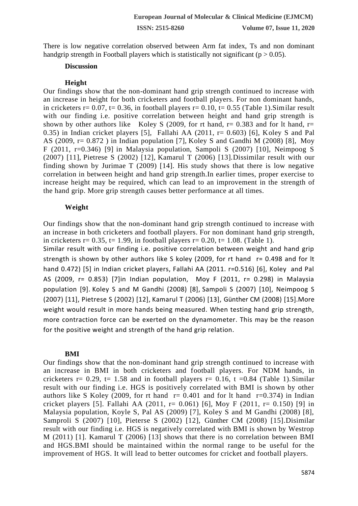There is low negative correlation observed between Arm fat index, Ts and non dominant handgrip strength in Football players which is statistically not significant ( $p > 0.05$ ).

#### **Discussion**

# **Height**

Our findings show that the non-dominant hand grip strength continued to increase with an increase in height for both cricketers and football players. For non dominant hands, in cricketers r= 0.07, t= 0.36, in football players r= 0.10, t= 0.55 (Table 1). Similar result with our finding i.e. positive correlation between height and hand grip strength is shown by other authors like Koley S (2009, for rt hand,  $r= 0.383$  and for lt hand,  $r=$ 0.35) in Indian cricket players [5], Fallahi AA (2011,  $r = 0.603$ ) [6], Koley S and Pal AS (2009, r= 0.872 ) in Indian population [7], Koley S and Gandhi M (2008) [8], Moy F (2011, r=0.346) [9] in Malaysia population, Sampoli S (2007) [10], Neimpoog S (2007) [11], Pietrese S (2002) [12], Kamarul T (2006) [13].Dissimilar result with our finding shown by Jurimae T (2009) [14]. His study shows that there is low negative correlation in between height and hand grip strength.In earlier times, proper exercise to increase height may be required, which can lead to an improvement in the strength of the hand grip. More grip strength causes better performance at all times.

# **Weight**

Our findings show that the non-dominant hand grip strength continued to increase with an increase in both cricketers and football players. For non dominant hand grip strength, in cricketers  $r= 0.35$ ,  $t= 1.99$ , in football players  $r= 0.20$ ,  $t= 1.08$ . (Table 1).

Similar result with our finding i.e. positive correlation between weight and hand grip strength is shown by other authors like S koley (2009, for rt hand r= 0.498 and for It hand 0.472) [5] in Indian cricket players, Fallahi AA (2011. r=0.516) [6], Koley and Pal AS (2009, r= 0.853) [7]in Indian population, Moy F (2011, r= 0.298) in Malaysia population [9]. Koley S and M Gandhi (2008) [8], Sampoli S (2007) [10], Neimpoog S (2007) [11], Pietrese S (2002) [12], Kamarul T (2006) [13], Günther CM (2008) [15].More weight would result in more hands being measured. When testing hand grip strength, more contraction force can be exerted on the dynamometer. This may be the reason for the positive weight and strength of the hand grip relation.

#### **BMI**

Our findings show that the non-dominant hand grip strength continued to increase with an increase in BMI in both cricketers and football players. For NDM hands, in cricketers  $r= 0.29$ ,  $t= 1.58$  and in football players  $r= 0.16$ ,  $t=0.84$  (Table 1). Similar result with our finding i.e. HGS is positively correlated with BMI is shown by other authors like S Koley (2009, for rt hand  $r= 0.401$  and for lt hand  $r=0.374$ ) in Indian cricket players [5]. Fallahi AA (2011, r= 0.061) [6], Moy F (2011, r= 0.150) [9] in Malaysia population, Koyle S, Pal AS (2009) [7], Koley S and M Gandhi (2008) [8], Samproli S (2007) [10], Pieterse S (2002) [12], Günther CM (2008) [15].Disimilar result with our finding i.e. HGS is negatively correlated with BMI is shown by Westrop M (2011) [1]. Kamarul T (2006) [13] shows that there is no correlation between BMI and HGS.BMI should be maintained within the normal range to be useful for the improvement of HGS. It will lead to better outcomes for cricket and football players.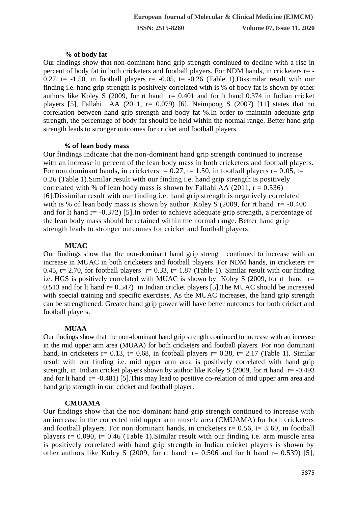# **% of body fat**

Our findings show that non-dominant hand grip strength continued to decline with a rise in percent of body fat in both cricketers and football players. For NDM hands, in cricketers r= - 0.27, t= -1.50, in football players  $r=$  -0.05, t= -0.26 (Table 1). Dissimilar result with our finding i.e. hand grip strength is positively correlated with is % of body fat is shown by other authors like Koley S (2009, for rt hand  $r= 0.401$  and for It hand 0.374 in Indian cricket players [5], Fallahi AA (2011,  $r= 0.079$ ) [6]. Neimpoog S (2007) [11] states that no correlation between hand grip strength and body fat %.In order to maintain adequate grip strength, the percentage of body fat should be held within the normal range. Better hand grip strength leads to stronger outcomes for cricket and football players.

### **% of lean body mass**

Our findings indicate that the non-dominant hand grip strength continued to increase with an increase in percent of the lean body mass in both cricketers and football players. For non dominant hands, in cricketers  $r= 0.27$ ,  $t= 1.50$ , in football players  $r= 0.05$ ,  $t=$ 0.26 (Table 1).Similar result with our finding i.e. hand grip strength is positively correlated with % of lean body mass is shown by Fallahi AA (2011,  $r = 0.536$ ) [6].Dissimilar result with our finding i.e. hand grip strength is negatively correlated with is % of lean body mass is shown by author Koley S (2009, for rt hand  $r = -0.400$ ) and for lt hand  $r = -0.372$ ) [5]. In order to achieve adequate grip strength, a percentage of the lean body mass should be retained within the normal range. Better hand grip strength leads to stronger outcomes for cricket and football players.

### **MUAC**

Our findings show that the non-dominant hand grip strength continued to increase with an increase in MUAC in both cricketers and football players. For NDM hands, in cricketers r= 0.45, t= 2.70, for football players  $r= 0.33$ , t= 1.87 (Table 1). Similar result with our finding i.e. HGS is positively correlated with MUAC is shown by Koley S (2009, for rt hand  $r=$ 0.513 and for lt hand r= 0.547) in Indian cricket players [5].The MUAC should be increased with special training and specific exercises. As the MUAC increases, the hand grip strength can be strengthened. Greater hand grip power will have better outcomes for both cricket and football players.

# **MUAA**

Our findings show that the non-dominant hand grip strength continued to increase with an increase in the mid upper arm area (MUAA) for both cricketers and football players. For non dominant hand, in cricketers r= 0.13, t= 0.68, in football players r= 0.38, t= 2.17 (Table 1). Similar result with our finding i.e. mid upper arm area is positively correlated with hand grip strength, in Indian cricket players shown by author like Koley S (2009, for rt hand  $r = -0.493$ ) and for lt hand  $r = -0.481$  [5]. This may lead to positive co-relation of mid upper arm area and hand grip strength in our cricket and football player.

#### **CMUAMA**

Our findings show that the non-dominant hand grip strength continued to increase with an increase in the corrected mid upper arm muscle area (CMUAMA) for both cricketers and football players. For non dominant hands, in cricketers  $r= 0.56$ ,  $t= 3.60$ , in football players  $r= 0.090$ ,  $t= 0.46$  (Table 1). Similar result with our finding i.e. arm muscle area is positively correlated with hand grip strength in Indian cricket players is shown by other authors like Koley S (2009, for rt hand  $r= 0.506$  and for lt hand  $r= 0.539$ ) [5],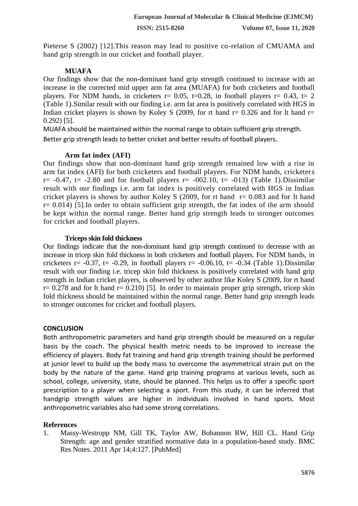Pieterse S (2002) [12]. This reason may lead to positive co-relation of CMUAMA and hand grip strength in our cricket and football player.

### **MUAFA**

Our findings show that the non-dominant hand grip strength continued to increase with an increase in the corrected mid upper arm fat area (MUAFA) for both cricketers and football players. For NDM hands, in cricketers  $r= 0.05$ ,  $t=0.28$ , in football players  $r= 0.43$ ,  $t= 2$ (Table 1).Similar result with our finding i.e. arm fat area is positively correlated with HGS in Indian cricket players is shown by Koley S (2009, for rt hand  $r=0.326$  and for lt hand  $r=$ 0.292) [5].

MUAFA should be maintained within the normal range to obtain sufficient grip strength. Better grip strength leads to better cricket and better results of football players.

#### **Arm fat index (AFI)**

Our findings show that non-dominant hand grip strength remained low with a rise in arm fat index (AFI) for both cricketers and football players. For NDM hands, cricketers  $r=-0.47$ ,  $t=-2.80$  and for football players  $r=-002.10$ ,  $t=-013$ ) (Table 1). Dissimilar result with our findings i.e. arm fat index is positively correlated with HGS in Indian cricket players is shown by author Koley S (2009, for rt hand  $r = 0.083$  and for 1t hand  $r= 0.014$ ) [5]. In order to obtain sufficient grip strength, the fat index of the arm should be kept within the normal range. Better hand grip strength leads to stronger outcomes for cricket and football players.

#### **Triceps skin fold thickness**

Our findings indicate that the non-dominant hand grip strength continued to decrease with an increase in tricep skin fold thickness in both cricketers and football players. For NDM hands, in cricketers  $r = -0.37$ ,  $t = -0.29$ , in football players  $r = -0.06.10$ ,  $t = -0.34$  (Table 1). Dissimilar result with our finding i.e. tricep skin fold thickness is positively correlated with hand grip strength in Indian cricket players, is observed by other author like Koley S (2009, for rt hand  $r= 0.278$  and for lt hand  $r= 0.210$  [5]. In order to maintain proper grip strength, tricep skin fold thickness should be maintained within the normal range. Better hand grip strength leads to stronger outcomes for cricket and football players.

#### **CONCLUSION**

Both anthropometric parameters and hand grip strength should be measured on a regular basis by the coach. The physical health metric needs to be improved to increase the efficiency of players. Body fat training and hand grip strength training should be performed at junior level to build up the body mass to overcome the asymmetrical strain put on the body by the nature of the game. Hand grip training programs at various levels, such as school, college, university, state, should be planned. This helps us to offer a specific sport prescription to a player when selecting a sport. From this study, it can be inferred that handgrip strength values are higher in individuals involved in hand sports. Most anthropometric variables also had some strong correlations.

# **References**

1. Massy-Westropp NM, Gill TK, Taylor AW, Bohannon RW, Hill CL. Hand Grip Strength: age and gender stratified normative data in a population-based study. BMC Res Notes. 2011 Apr 14;4:127. [PubMed]